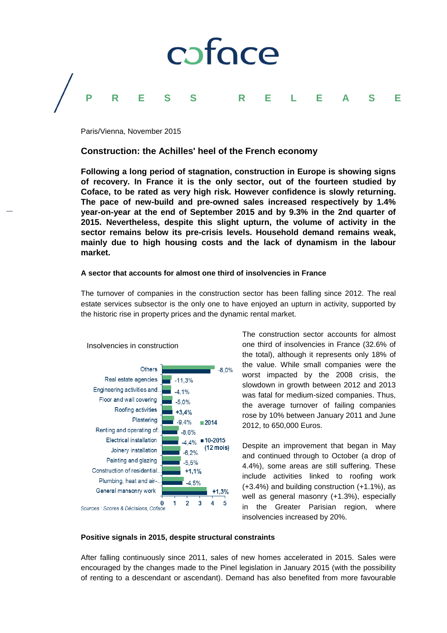

Paris/Vienna, November 2015

# **Construction: the Achilles' heel of the French economy**

**Following a long period of stagnation, construction in Europe is showing signs of recovery. In France it is the only sector, out of the fourteen studied by Coface, to be rated as very high risk. However confidence is slowly returning. The pace of new-build and pre-owned sales increased respectively by 1.4% year-on-year at the end of September 2015 and by 9.3% in the 2nd quarter of 2015. Nevertheless, despite this slight upturn, the volume of activity in the sector remains below its pre-crisis levels. Household demand remains weak, mainly due to high housing costs and the lack of dynamism in the labour market.**

### **A sector that accounts for almost one third of insolvencies in France**

The turnover of companies in the construction sector has been falling since 2012. The real estate services subsector is the only one to have enjoyed an upturn in activity, supported by the historic rise in property prices and the dynamic rental market.



Insolvencies in construction

The construction sector accounts for almost one third of insolvencies in France (32.6% of the total), although it represents only 18% of the value. While small companies were the worst impacted by the 2008 crisis, the slowdown in growth between 2012 and 2013 was fatal for medium-sized companies. Thus, the average turnover of failing companies rose by 10% between January 2011 and June 2012, to 650,000 Euros.

Despite an improvement that began in May and continued through to October (a drop of 4.4%), some areas are still suffering. These include activities linked to roofing work (+3.4%) and building construction (+1.1%), as well as general masonry (+1.3%), especially in the Greater Parisian region, where insolvencies increased by 20%.

## **Positive signals in 2015, despite structural constraints**

After falling continuously since 2011, sales of new homes accelerated in 2015. Sales were encouraged by the changes made to the Pinel legislation in January 2015 (with the possibility of renting to a descendant or ascendant). Demand has also benefited from more favourable